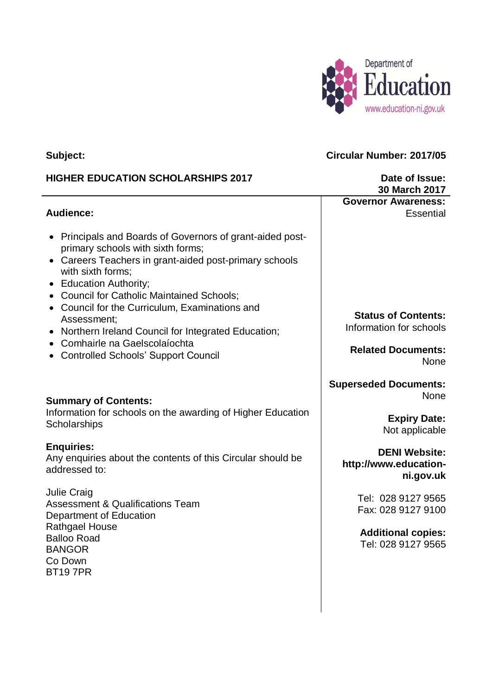

### **Subject:**

## **HIGHER EDUCATION SCHOLARSHIPS 2017**

### **Audience:**

- Principals and Boards of Governors of grant-aided postprimary schools with sixth forms;
- Careers Teachers in grant-aided post-primary schools with sixth forms;
- Education Authority;
- Council for Catholic Maintained Schools:
- Council for the Curriculum, Examinations and Assessment;
- Northern Ireland Council for Integrated Education;
- Comhairle na Gaelscolaíochta
- Controlled Schools' Support Council

### **Summary of Contents:**

Information for schools on the awarding of Higher Education **Scholarships** 

### **Enquiries:**

Any enquiries about the contents of this Circular should be addressed to:

Julie Craig Assessment & Qualifications Team Department of Education Rathgael House Balloo Road BANGOR Co Down BT19 7PR

**Circular Number: 2017/05**

**Governor Awareness:**

**Date of Issue: 30 March 2017**

**Essential** 

**Status of Contents:** Information for schools

**Related Documents:** None

**Superseded Documents:** None

> **Expiry Date:** Not applicable

**DENI Website: http://www.educationni.gov.uk**

> Tel: 028 9127 9565 Fax: 028 9127 9100

**Additional copies:** Tel: 028 9127 9565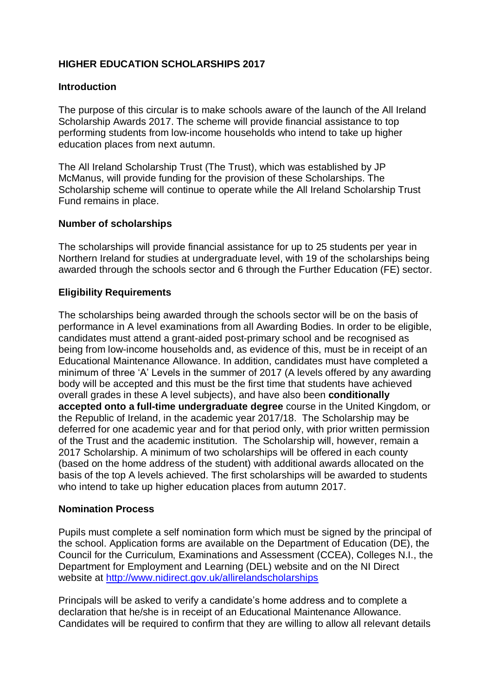# **HIGHER EDUCATION SCHOLARSHIPS 2017**

### **Introduction**

The purpose of this circular is to make schools aware of the launch of the All Ireland Scholarship Awards 2017. The scheme will provide financial assistance to top performing students from low-income households who intend to take up higher education places from next autumn.

The All Ireland Scholarship Trust (The Trust), which was established by JP McManus, will provide funding for the provision of these Scholarships. The Scholarship scheme will continue to operate while the All Ireland Scholarship Trust Fund remains in place.

#### **Number of scholarships**

The scholarships will provide financial assistance for up to 25 students per year in Northern Ireland for studies at undergraduate level, with 19 of the scholarships being awarded through the schools sector and 6 through the Further Education (FE) sector.

### **Eligibility Requirements**

The scholarships being awarded through the schools sector will be on the basis of performance in A level examinations from all Awarding Bodies. In order to be eligible, candidates must attend a grant-aided post-primary school and be recognised as being from low-income households and, as evidence of this, must be in receipt of an Educational Maintenance Allowance. In addition, candidates must have completed a minimum of three 'A' Levels in the summer of 2017 (A levels offered by any awarding body will be accepted and this must be the first time that students have achieved overall grades in these A level subjects), and have also been **conditionally accepted onto a full-time undergraduate degree** course in the United Kingdom, or the Republic of Ireland, in the academic year 2017/18. The Scholarship may be deferred for one academic year and for that period only, with prior written permission of the Trust and the academic institution. The Scholarship will, however, remain a 2017 Scholarship. A minimum of two scholarships will be offered in each county (based on the home address of the student) with additional awards allocated on the basis of the top A levels achieved. The first scholarships will be awarded to students who intend to take up higher education places from autumn 2017.

#### **Nomination Process**

Pupils must complete a self nomination form which must be signed by the principal of the school. Application forms are available on the Department of Education (DE), the Council for the Curriculum, Examinations and Assessment (CCEA), Colleges N.I., the Department for Employment and Learning (DEL) website and on the NI Direct website at<http://www.nidirect.gov.uk/allirelandscholarships>

Principals will be asked to verify a candidate's home address and to complete a declaration that he/she is in receipt of an Educational Maintenance Allowance. Candidates will be required to confirm that they are willing to allow all relevant details